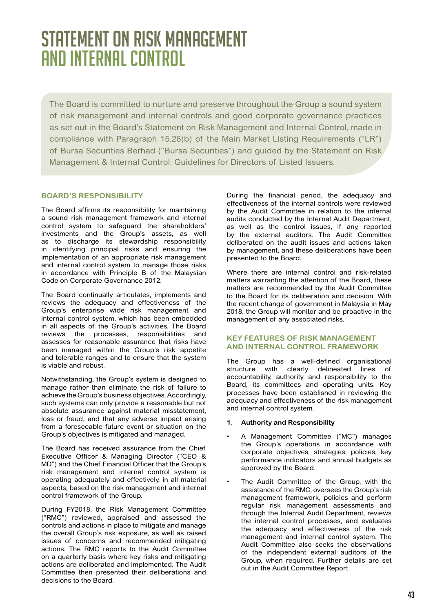# STATEMENT ON RISK MANAGEMENT AND INTERNAL CONTROL

The Board is committed to nurture and preserve throughout the Group a sound system of risk management and internal controls and good corporate governance practices as set out in the Board's Statement on Risk Management and Internal Control, made in compliance with Paragraph 15.26(b) of the Main Market Listing Requirements ("LR") of Bursa Securities Berhad ("Bursa Securities") and guided by the Statement on Risk Management & Internal Control: Guidelines for Directors of Listed Issuers.

# **BOARD'S RESPONSIBILITY**

The Board affirms its responsibility for maintaining a sound risk management framework and internal control system to safeguard the shareholders' investments and the Group's assets, as well as to discharge its stewardship responsibility in identifying principal risks and ensuring the implementation of an appropriate risk management and internal control system to manage those risks in accordance with Principle B of the Malaysian Code on Corporate Governance 2012.

The Board continually articulates, implements and reviews the adequacy and effectiveness of the Group's enterprise wide risk management and internal control system, which has been embedded in all aspects of the Group's activities. The Board reviews the processes, responsibilities and assesses for reasonable assurance that risks have been managed within the Group's risk appetite and tolerable ranges and to ensure that the system is viable and robust.

Notwithstanding, the Group's system is designed to manage rather than eliminate the risk of failure to achieve the Group's business objectives. Accordingly, such systems can only provide a reasonable but not absolute assurance against material misstatement, loss or fraud, and that any adverse impact arising from a foreseeable future event or situation on the Group's objectives is mitigated and managed.

The Board has received assurance from the Chief Executive Officer & Managing Director ("CEO & MD") and the Chief Financial Officer that the Group's risk management and internal control system is operating adequately and effectively, in all material aspects, based on the risk management and internal control framework of the Group.

During FY2018, the Risk Management Committee ("RMC") reviewed, appraised and assessed the controls and actions in place to mitigate and manage the overall Group's risk exposure, as well as raised issues of concerns and recommended mitigating actions. The RMC reports to the Audit Committee on a quarterly basis where key risks and mitigating actions are deliberated and implemented. The Audit Committee then presented their deliberations and decisions to the Board.

During the financial period, the adequacy and effectiveness of the internal controls were reviewed by the Audit Committee in relation to the internal audits conducted by the Internal Audit Department, as well as the control issues, if any, reported by the external auditors. The Audit Committee deliberated on the audit issues and actions taken by management, and these deliberations have been presented to the Board.

Where there are internal control and risk-related matters warranting the attention of the Board, these matters are recommended by the Audit Committee to the Board for its deliberation and decision. With the recent change of government in Malaysia in May 2018, the Group will monitor and be proactive in the management of any associated risks.

# **KEY FEATURES OF RISK MANAGEMENT AND INTERNAL CONTROL FRAMEWORK**

The Group has a well-defined organisational structure with clearly delineated lines of accountability, authority and responsibility to the Board, its committees and operating units. Key processes have been established in reviewing the adequacy and effectiveness of the risk management and internal control system.

## **1. Authority and Responsibility**

- A Management Committee ("MC") manages the Group's operations in accordance with corporate objectives, strategies, policies, key performance indicators and annual budgets as approved by the Board.
- The Audit Committee of the Group, with the assistance of the RMC, oversees the Group's risk management framework, policies and perform regular risk management assessments and through the Internal Audit Department, reviews the internal control processes, and evaluates the adequacy and effectiveness of the risk management and internal control system. The Audit Committee also seeks the observations of the independent external auditors of the Group, when required. Further details are set out in the Audit Committee Report.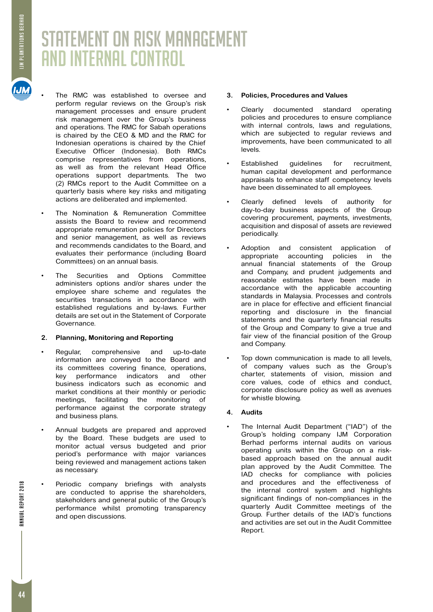# STATEMENT ON RISK MANAGEMENT AND INTERNAL CONTROL

- The RMC was established to oversee and perform regular reviews on the Group's risk management processes and ensure prudent risk management over the Group's business and operations. The RMC for Sabah operations is chaired by the CEO & MD and the RMC for Indonesian operations is chaired by the Chief Executive Officer (Indonesia). Both RMCs comprise representatives from operations, as well as from the relevant Head Office operations support departments. The two (2) RMCs report to the Audit Committee on a quarterly basis where key risks and mitigating actions are deliberated and implemented.
- The Nomination & Remuneration Committee assists the Board to review and recommend appropriate remuneration policies for Directors and senior management, as well as reviews and recommends candidates to the Board, and evaluates their performance (including Board Committees) on an annual basis.
- The Securities and Options Committee administers options and/or shares under the employee share scheme and regulates the securities transactions in accordance with established regulations and by-laws. Further details are set out in the Statement of Corporate Governance.

## **2. Planning, Monitoring and Reporting**

- Regular, comprehensive and up-to-date information are conveyed to the Board and its committees covering finance, operations, key performance indicators and other business indicators such as economic and market conditions at their monthly or periodic meetings, facilitating the monitoring of performance against the corporate strategy and business plans.
- Annual budgets are prepared and approved by the Board. These budgets are used to monitor actual versus budgeted and prior period's performance with major variances being reviewed and management actions taken as necessary.
- Periodic company briefings with analysts are conducted to apprise the shareholders, stakeholders and general public of the Group's performance whilst promoting transparency and open discussions.

# **3. Policies, Procedures and Values**

- Clearly documented standard operating policies and procedures to ensure compliance with internal controls, laws and regulations, which are subjected to regular reviews and improvements, have been communicated to all levels.
- Established guidelines for recruitment, human capital development and performance appraisals to enhance staff competency levels have been disseminated to all employees.
- • Clearly defined levels of authority for day-to-day business aspects of the Group covering procurement, payments, investments, acquisition and disposal of assets are reviewed periodically.
- Adoption and consistent application of appropriate accounting policies in the annual financial statements of the Group and Company, and prudent judgements and reasonable estimates have been made in accordance with the applicable accounting standards in Malaysia. Processes and controls are in place for effective and efficient financial reporting and disclosure in the financial statements and the quarterly financial results of the Group and Company to give a true and fair view of the financial position of the Group and Company.
- Top down communication is made to all levels, of company values such as the Group's charter, statements of vision, mission and core values, code of ethics and conduct, corporate disclosure policy as well as avenues for whistle blowing.

# **4. Audits**

The Internal Audit Department ("IAD") of the Group's holding company IJM Corporation Berhad performs internal audits on various operating units within the Group on a riskbased approach based on the annual audit plan approved by the Audit Committee. The IAD checks for compliance with policies and procedures and the effectiveness of the internal control system and highlights significant findings of non-compliances in the quarterly Audit Committee meetings of the Group. Further details of the IAD's functions and activities are set out in the Audit Committee Report.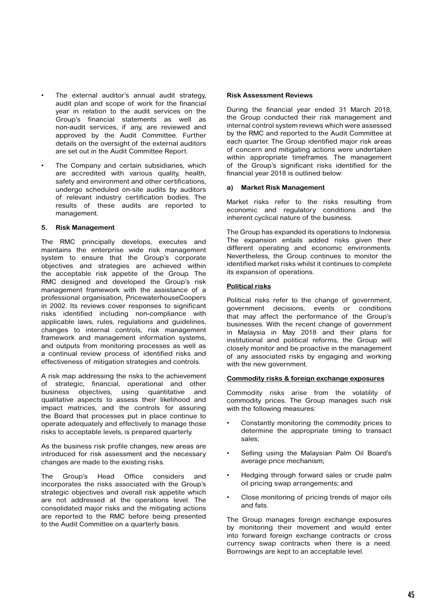- The external auditor's annual audit strategy, audit plan and scope of work for the financial year in relation to the audit services on the Group's financial statements as well as non-audit services, if any, are reviewed and approved by the Audit Committee. Further details on the oversight of the external auditors are set out in the Audit Committee Report.
- The Company and certain subsidiaries, which are accredited with various quality, health, safety and environment and other certifications, undergo scheduled on-site audits by auditors of relevant industry certification bodies. The results of these audits are reported to management.

#### **5. Risk Management**

The RMC principally develops, executes and maintains the enterprise wide risk management system to ensure that the Group's corporate objectives and strategies are achieved within the acceptable risk appetite of the Group. The RMC designed and developed the Group's risk management framework with the assistance of a professional organisation, PricewaterhouseCoopers in 2002. Its reviews cover responses to significant risks identified including non-compliance with applicable laws, rules, regulations and guidelines, changes to internal controls, risk management framework and management information systems, and outputs from monitoring processes as well as a continual review process of identified risks and effectiveness of mitigation strategies and controls.

A risk map addressing the risks to the achievement of strategic, financial, operational and other business objectives, using quantitative and qualitative aspects to assess their likelihood and impact matrices, and the controls for assuring the Board that processes put in place continue to operate adequately and effectively to manage those risks to acceptable levels, is prepared quarterly.

As the business risk profile changes, new areas are introduced for risk assessment and the necessary changes are made to the existing risks.

The Group's Head Office considers and incorporates the risks associated with the Group's strategic objectives and overall risk appetite which are not addressed at the operations level. The consolidated major risks and the mitigating actions are reported to the RMC before being presented to the Audit Committee on a quarterly basis.

#### **Risk Assessment Reviews**

During the financial year ended 31 March 2018, the Group conducted their risk management and internal control system reviews which were assessed by the RMC and reported to the Audit Committee at each quarter. The Group identified major risk areas of concern and mitigating actions were undertaken within appropriate timeframes. The management of the Group's significant risks identified for the financial year 2018 is outlined below:

#### **a) Market Risk Management**

Market risks refer to the risks resulting from economic and regulatory conditions and the inherent cyclical nature of the business.

The Group has expanded its operations to Indonesia. The expansion entails added risks given their different operating and economic environments. Nevertheless, the Group continues to monitor the identified market risks whilst it continues to complete its expansion of operations.

#### **Political risks**

Political risks refer to the change of government. government decisions, events or conditions that may affect the performance of the Group's businesses. With the recent change of government in Malaysia in May 2018 and their plans for institutional and political reforms, the Group will closely monitor and be proactive in the management of any associated risks by engaging and working with the new government.

#### **Commodity risks & foreign exchange exposures**

Commodity risks arise from the volatility of commodity prices. The Group manages such risk with the following measures:

- Constantly monitoring the commodity prices to determine the appropriate timing to transact sales;
- Selling using the Malaysian Palm Oil Board's average price mechanism;
- Hedging through forward sales or crude palm oil pricing swap arrangements; and
- Close monitoring of pricing trends of major oils and fats.

The Group manages foreign exchange exposures by monitoring their movement and would enter into forward foreign exchange contracts or cross currency swap contracts when there is a need. Borrowings are kept to an acceptable level.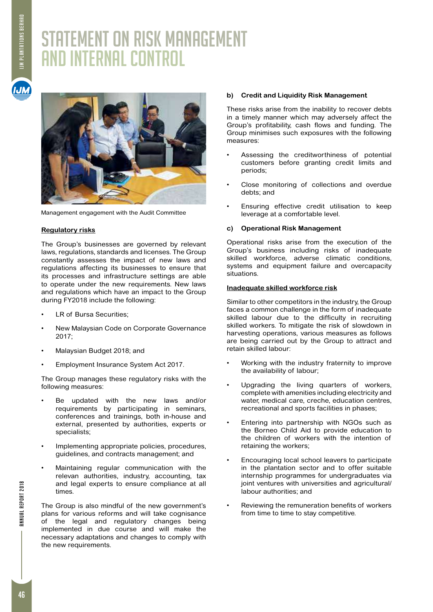# STATEMENT ON RISK MANAGEMENT AND INTERNAL CONTROL





Management engagement with the Audit Committee

## **Regulatory risks**

The Group's businesses are governed by relevant laws, regulations, standards and licenses. The Group constantly assesses the impact of new laws and regulations affecting its businesses to ensure that its processes and infrastructure settings are able to operate under the new requirements. New laws and regulations which have an impact to the Group during FY2018 include the following:

- LR of Bursa Securities;
- New Malaysian Code on Corporate Governance 2017;
- Malaysian Budget 2018; and
- • Employment Insurance System Act 2017.

The Group manages these regulatory risks with the following measures:

- Be updated with the new laws and/or requirements by participating in seminars, conferences and trainings, both in-house and external, presented by authorities, experts or specialists;
- Implementing appropriate policies, procedures, guidelines, and contracts management; and
- Maintaining regular communication with the relevan authorities, industry, accounting, tax and legal experts to ensure compliance at all times.

The Group is also mindful of the new government's plans for various reforms and will take cognisance of the legal and regulatory changes being implemented in due course and will make the necessary adaptations and changes to comply with the new requirements.

# **b) Credit and Liquidity Risk Management**

These risks arise from the inability to recover debts in a timely manner which may adversely affect the Group's profitability, cash flows and funding. The Group minimises such exposures with the following measures:

- Assessing the creditworthiness of potential customers before granting credit limits and periods;
- • Close monitoring of collections and overdue debts; and
- Ensuring effective credit utilisation to keep leverage at a comfortable level.

# **c) Operational Risk Management**

Operational risks arise from the execution of the Group's business including risks of inadequate skilled workforce, adverse climatic conditions, systems and equipment failure and overcapacity situations.

## **Inadequate skilled workforce risk**

Similar to other competitors in the industry, the Group faces a common challenge in the form of inadequate skilled labour due to the difficulty in recruiting skilled workers. To mitigate the risk of slowdown in harvesting operations, various measures as follows are being carried out by the Group to attract and retain skilled labour:

- Working with the industry fraternity to improve the availability of labour;
- Upgrading the living quarters of workers, complete with amenities including electricity and water, medical care, creàhe, education centres, recreational and sports facilities in phases;
- Entering into partnership with NGOs such as the Borneo Child Aid to provide education to the children of workers with the intention of retaining the workers;
- Encouraging local school leavers to participate in the plantation sector and to offer suitable internship programmes for undergraduates via joint ventures with universities and agricultural/ labour authorities; and
- Reviewing the remuneration benefits of workers from time to time to stay competitive.